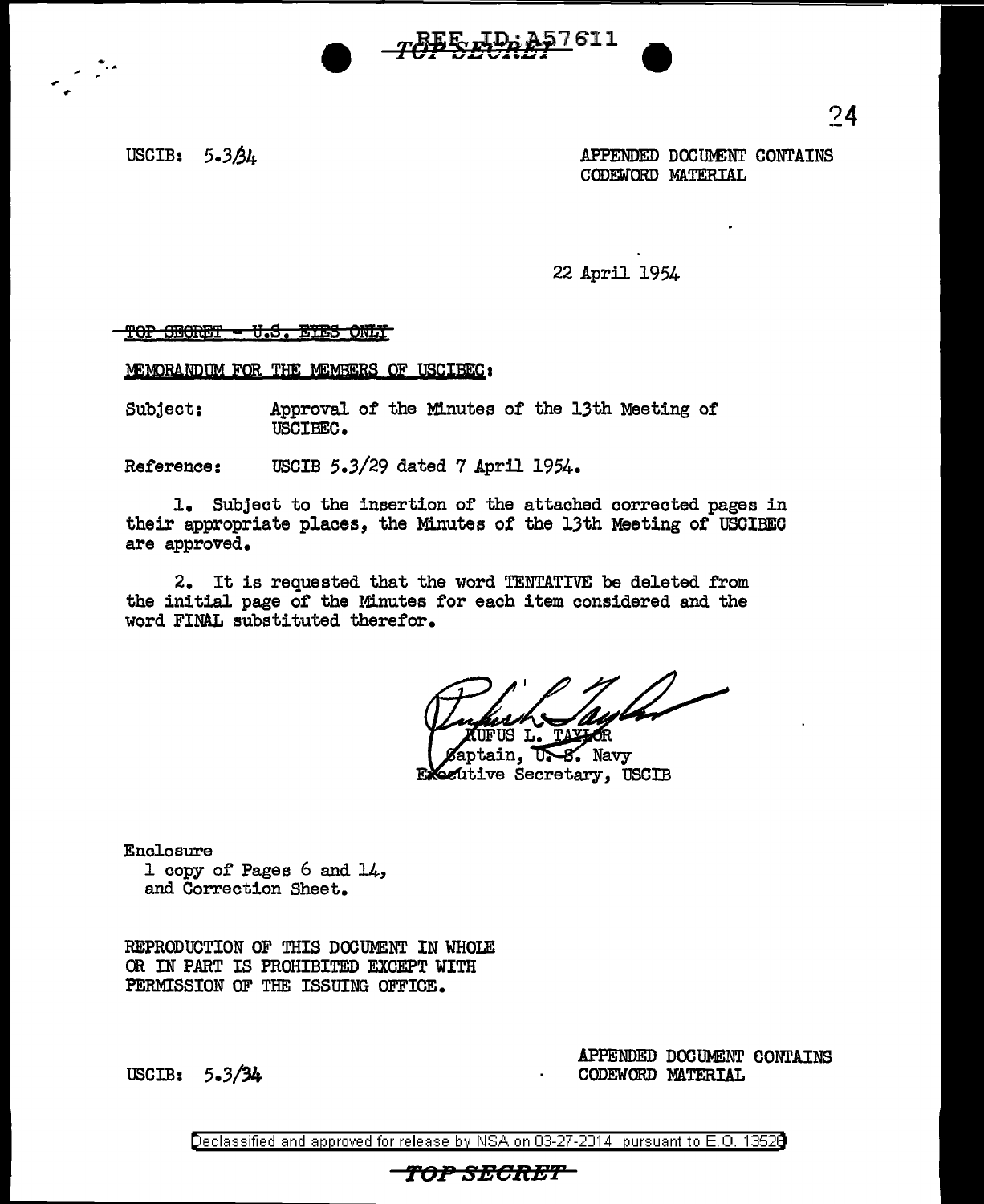

,,. '"' ..

USCIB: 5.3 $\Delta$ 4 Meets and the set of the set of the set of the set of the set of the set of the set of the set of the set of the set of the set of the set of the set of the set of the set of the set of the set of the set o CODEWORD MATERIAL

22 April 1954

<u> TOP SECRET - U.S. EYES ONLY</u>

MEMORANDUM FOR THE MEMBERS OF USCIBEC:

Subject: Approval of the Minutes of the 13th Meeting of USCIBEC.

Reference: USCIB 5.3/29 dated 7 April 1954.

1. Subject to the insertion of the attached corrected pages in their appropriate places, the Minutes or the 13th Meeting of USCIBEC are approved.

2. It is requested that the word TENTATIVE be deleted from the initial page of the Minutes for each item considered and the word FINAL eubstituted therefor.

(UFUS L. TAXIOR

Aptain, U.S. Navy Executive Secretary, USCIB

Enclosure 1 copy of Pages 6 and 14, and Correction Sheet.

REPRODUCTION OF THIS DOCUMENT IN WHOLE OR IN PART IS PROHIBITED EXCEPT WITH PERMISSION OF THE ISSUING OFFICE.

USCIB: 5,3/34

APPENDED DOCUMENT CONTAINS CODEWORD MATERIAL

Declassified and approved for release by NSA on 03-27-2014 pursuant to E. 0. 1352B

## *TOP SECRE'F*